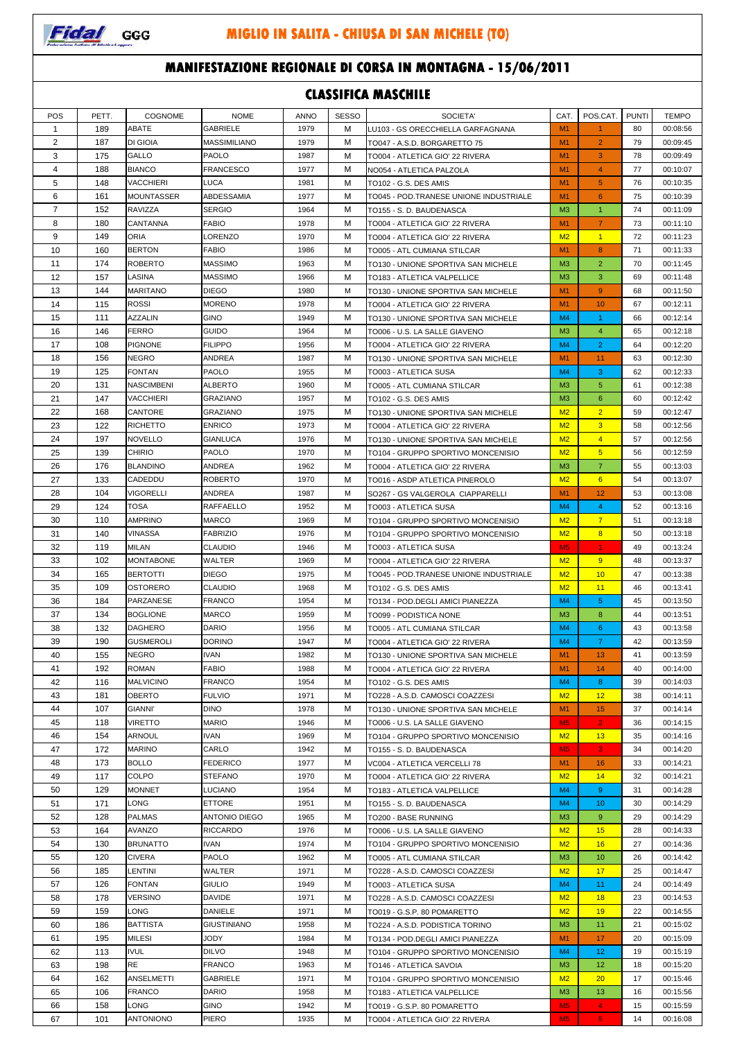

#### **MANIFESTAZIONE REGIONALE DI CORSA IN MONTAGNA - 15/06/2011**

| <b>CLASSIFICA MASCHILE</b> |            |                                     |                                   |              |              |                                                                        |                                  |                           |              |                      |
|----------------------------|------------|-------------------------------------|-----------------------------------|--------------|--------------|------------------------------------------------------------------------|----------------------------------|---------------------------|--------------|----------------------|
| POS                        | PETT.      | COGNOME                             | <b>NOME</b>                       | <b>ANNO</b>  | <b>SESSO</b> | SOCIETA'                                                               | CAT.                             | POS.CAT.                  | <b>PUNTI</b> | <b>TEMPO</b>         |
| $\mathbf 1$                | 189        | ABATE                               | <b>GABRIELE</b>                   | 1979         | М            | LU103 - GS ORECCHIELLA GARFAGNANA                                      | M1                               | $\mathbf{1}$              | 80           | 00:08:56             |
| 2                          | 187        | DI GIOIA                            | MASSIMILIANO                      | 1979         | М            | TO047 - A.S.D. BORGARETTO 75                                           | M <sub>1</sub>                   | $\overline{2}$            | 79           | 00:09:45             |
| 3                          | 175        | GALLO                               | PAOLO                             | 1987         | М            | TO004 - ATLETICA GIO' 22 RIVERA                                        | M <sub>1</sub>                   | 3                         | 78           | 00:09:49             |
| 4                          | 188        | <b>BIANCO</b>                       | FRANCESCO                         | 1977         | M            | NO054 - ATLETICA PALZOLA                                               | M <sub>1</sub>                   | $\overline{4}$            | 77           | 00:10:07             |
| 5                          | 148        | VACCHIERI                           | LUCA                              | 1981         | M            | TO102 - G.S. DES AMIS                                                  | M <sub>1</sub><br>M <sub>1</sub> | 5                         | 76           | 00:10:35             |
| 6<br>$\overline{7}$        | 161<br>152 | <b>MOUNTASSER</b><br><b>RAVIZZA</b> | ABDESSAMIA<br>SERGIO              | 1977<br>1964 | М<br>M       | TO045 - POD.TRANESE UNIONE INDUSTRIALE<br>TO155 - S. D. BAUDENASCA     | M <sub>3</sub>                   | 6<br>$\blacktriangleleft$ | 75<br>74     | 00:10:39<br>00:11:09 |
| 8                          | 180        | CANTANNA                            | <b>FABIO</b>                      | 1978         | M            | TO004 - ATLETICA GIO' 22 RIVERA                                        | M <sub>1</sub>                   | $\overline{7}$            | 73           | 00:11:10             |
| 9                          | 149        | ORIA                                | LORENZO                           | 1970         | М            | TO004 - ATLETICA GIO' 22 RIVERA                                        | M <sub>2</sub>                   | $\blacktriangleleft$      | 72           | 00:11:23             |
| 10                         | 160        | <b>BERTON</b>                       | <b>FABIO</b>                      | 1986         | М            | TO005 - ATL CUMIANA STILCAR                                            | M <sub>1</sub>                   | 8                         | 71           | 00:11:33             |
| 11                         | 174        | <b>ROBERTO</b>                      | <b>MASSIMO</b>                    | 1963         | M            | TO130 - UNIONE SPORTIVA SAN MICHELE                                    | M <sub>3</sub>                   | $\overline{2}$            | 70           | 00:11:45             |
| 12                         | 157        | LASINA                              | MASSIMO                           | 1966         | М            | TO183 - ATLETICA VALPELLICE                                            | M <sub>3</sub>                   | 3                         | 69           | 00:11:48             |
| 13                         | 144        | <b>MARITANO</b>                     | <b>DIEGO</b>                      | 1980         | м            | TO130 - UNIONE SPORTIVA SAN MICHELE                                    | M <sub>1</sub>                   | 9                         | 68           | 00:11:50             |
| 14                         | 115        | <b>ROSSI</b>                        | <b>MORENO</b>                     | 1978         | М            | TO004 - ATLETICA GIO' 22 RIVERA                                        | M <sub>1</sub>                   | 10                        | 67           | 00:12:11             |
| 15                         | 111        | AZZALIN                             | <b>GINO</b>                       | 1949         | М            | TO130 - UNIONE SPORTIVA SAN MICHELE                                    | M <sub>4</sub>                   | $\mathbf{1}$              | 66           | 00:12:14             |
| 16                         | 146        | <b>FERRO</b>                        | <b>GUIDO</b>                      | 1964         | М            | TO006 - U.S. LA SALLE GIAVENO                                          | M <sub>3</sub>                   | 4                         | 65           | 00:12:18             |
| 17                         | 108        | <b>PIGNONE</b>                      | <b>FILIPPO</b>                    | 1956         | М            | TO004 - ATLETICA GIO' 22 RIVERA                                        | M <sub>4</sub>                   | $\overline{2}$            | 64           | 00:12:20             |
| 18<br>19                   | 156<br>125 | <b>NEGRO</b>                        | ANDREA                            | 1987         | M            | TO130 - UNIONE SPORTIVA SAN MICHELE                                    | M1                               | 11                        | 63           | 00:12:30             |
| 20                         | 131        | FONTAN<br><b>NASCIMBENI</b>         | PAOLO<br>ALBERTO                  | 1955<br>1960 | M<br>М       | TO003 - ATLETICA SUSA<br>TO005 - ATL CUMIANA STILCAR                   | M <sub>4</sub><br>M <sub>3</sub> | 3<br>5                    | 62<br>61     | 00:12:33<br>00:12:38 |
| 21                         | 147        | VACCHIERI                           | GRAZIANO                          | 1957         | М            | TO102 - G.S. DES AMIS                                                  | M <sub>3</sub>                   | 6                         | 60           | 00:12:42             |
| 22                         | 168        | CANTORE                             | <b>GRAZIANO</b>                   | 1975         | M            | TO130 - UNIONE SPORTIVA SAN MICHELE                                    | M <sub>2</sub>                   | $\overline{2}$            | 59           | 00:12:47             |
| 23                         | 122        | <b>RICHETTO</b>                     | <b>ENRICO</b>                     | 1973         | М            | TO004 - ATLETICA GIO' 22 RIVERA                                        | M <sub>2</sub>                   | $\overline{3}$            | 58           | 00:12:56             |
| 24                         | 197        | <b>NOVELLO</b>                      | GIANLUCA                          | 1976         | М            | TO130 - UNIONE SPORTIVA SAN MICHELE                                    | M <sub>2</sub>                   | $\overline{4}$            | 57           | 00:12:56             |
| 25                         | 139        | <b>CHIRIO</b>                       | <b>PAOLO</b>                      | 1970         | M            | TO104 - GRUPPO SPORTIVO MONCENISIO                                     | M <sub>2</sub>                   | 5                         | 56           | 00:12:59             |
| 26                         | 176        | <b>BLANDINO</b>                     | ANDREA                            | 1962         | M            | TO004 - ATLETICA GIO' 22 RIVERA                                        | M <sub>3</sub>                   | $\overline{7}$            | 55           | 00:13:03             |
| 27                         | 133        | CADEDDU                             | <b>ROBERTO</b>                    | 1970         | М            | TO016 - ASDP ATLETICA PINEROLO                                         | M <sub>2</sub>                   | 6                         | 54           | 00:13:07             |
| 28                         | 104        | <b>VIGORELLI</b>                    | ANDREA                            | 1987         | М            | SO267 - GS VALGEROLA CIAPPARELLI                                       | M <sub>1</sub>                   | 12                        | 53           | 00:13:08             |
| 29                         | 124        | TOSA                                | <b>RAFFAELLO</b>                  | 1952         | M            | TO003 - ATLETICA SUSA                                                  | M <sub>4</sub>                   | $\overline{4}$            | 52           | 00:13:16             |
| 30                         | 110        | <b>AMPRINO</b>                      | MARCO                             | 1969         | М            | TO104 - GRUPPO SPORTIVO MONCENISIO                                     | M <sub>2</sub>                   | $\overline{7}$            | 51           | 00:13:18             |
| 31                         | 140        | VINASSA                             | FABRIZIO                          | 1976         | М            | TO104 - GRUPPO SPORTIVO MONCENISIO                                     | M <sub>2</sub>                   | 8                         | 50           | 00:13:18             |
| 32                         | 119        | <b>MILAN</b>                        | <b>CLAUDIO</b>                    | 1946         | M            | TO003 - ATLETICA SUSA                                                  | M <sub>5</sub>                   | $\blacktriangleleft$      | 49           | 00:13:24             |
| 33<br>34                   | 102<br>165 | <b>MONTABONE</b><br><b>BERTOTTI</b> | WALTER<br>DIEGO                   | 1969         | M<br>М       | TO004 - ATLETICA GIO' 22 RIVERA                                        | M <sub>2</sub>                   | 9                         | 48<br>47     | 00:13:37<br>00:13:38 |
| 35                         | 109        | <b>OSTORERO</b>                     | <b>CLAUDIO</b>                    | 1975<br>1968 | M            | TO045 - POD.TRANESE UNIONE INDUSTRIALE<br>TO102 - G.S. DES AMIS        | M <sub>2</sub><br>M <sub>2</sub> | 10<br>11                  | 46           | 00:13:41             |
| 36                         | 184        | PARZANESE                           | <b>FRANCO</b>                     | 1954         | M            | TO134 - POD.DEGLI AMICI PIANEZZA                                       | M <sub>4</sub>                   | 5                         | 45           | 00:13:50             |
| 37                         | 134        | <b>BOGLIONE</b>                     | <b>MARCO</b>                      | 1959         | М            | TO099 - PODISTICA NONE                                                 | M <sub>3</sub>                   | 8                         | 44           | 00:13:51             |
| 38                         | 132        | DAGHERO                             | <b>DARIO</b>                      | 1956         | М            | TO005 - ATL CUMIANA STILCAR                                            | M <sub>4</sub>                   | 6                         | 43           | 00:13:58             |
| 39                         | 190        | <b>GUSMEROLI</b>                    | <b>DORINO</b>                     | 1947         | м            | TO004 - ATLETICA GIO' 22 RIVERA                                        | M4                               | $\mathbf{7}$              | 42           | 00:13:59             |
| 40                         | 155        | NEGRO                               | <b>IVAN</b>                       | 1982         | М            | TO130 - UNIONE SPORTIVA SAN MICHELE                                    | M <sub>1</sub>                   | 13                        | 41           | 00:13:59             |
| 41                         | 192        | ROMAN                               | FABIO                             | 1988         | М            | TO004 - ATLETICA GIO' 22 RIVERA                                        | M <sub>1</sub>                   | 14                        | 40           | 00:14:00             |
| 42                         | 116        | <b>MALVICINO</b>                    | FRANCO                            | 1954         | М            | TO102 - G.S. DES AMIS                                                  | M <sub>4</sub>                   | 8                         | 39           | 00:14:03             |
| 43                         | 181        | OBERTO                              | <b>FULVIO</b>                     | 1971         | м            | TO228 - A.S.D. CAMOSCI COAZZESI                                        | M <sub>2</sub>                   | 12                        | 38           | 00:14:11             |
| 44                         | 107        | <b>GIANNI'</b>                      | <b>DINO</b>                       | 1978         | М            | TO130 - UNIONE SPORTIVA SAN MICHELE                                    | M <sub>1</sub>                   | 15                        | 37           | 00:14:14             |
| 45                         | 118        | <b>VIRETTO</b>                      | <b>MARIO</b>                      | 1946         | М            | TO006 - U.S. LA SALLE GIAVENO                                          | M <sub>5</sub>                   | $\mathbf{2}$              | 36           | 00:14:15             |
| 46<br>47                   | 154<br>172 | ARNOUL<br><b>MARINO</b>             | <b>IVAN</b><br>CARLO              | 1969<br>1942 | м<br>м       | TO104 - GRUPPO SPORTIVO MONCENISIO                                     | M <sub>2</sub><br>M <sub>5</sub> | 13<br>3                   | 35<br>34     | 00:14:16<br>00:14:20 |
| 48                         | 173        | <b>BOLLO</b>                        | FEDERICO                          | 1977         | М            | TO155 - S. D. BAUDENASCA<br>VC004 - ATLETICA VERCELLI 78               | M1                               | 16                        | 33           | 00:14:21             |
| 49                         | 117        | COLPO                               | STEFANO                           | 1970         | М            | TO004 - ATLETICA GIO' 22 RIVERA                                        | M <sub>2</sub>                   | 14                        | 32           | 00:14:21             |
| 50                         | 129        | <b>MONNET</b>                       | LUCIANO                           | 1954         | М            | TO183 - ATLETICA VALPELLICE                                            | M <sub>4</sub>                   | 9                         | 31           | 00:14:28             |
| 51                         | 171        | LONG                                | <b>ETTORE</b>                     | 1951         | М            | TO155 - S. D. BAUDENASCA                                               | M4                               | 10                        | 30           | 00:14:29             |
| 52                         | 128        | <b>PALMAS</b>                       | <b>ANTONIO DIEGO</b>              | 1965         | М            | TO200 - BASE RUNNING                                                   | M <sub>3</sub>                   | 9                         | 29           | 00:14:29             |
| 53                         | 164        | AVANZO                              | <b>RICCARDO</b>                   | 1976         | М            | TO006 - U.S. LA SALLE GIAVENO                                          | M <sub>2</sub>                   | 15                        | 28           | 00:14:33             |
| 54                         | 130        | <b>BRUNATTO</b>                     | <b>IVAN</b>                       | 1974         | М            | TO104 - GRUPPO SPORTIVO MONCENISIO                                     | M <sub>2</sub>                   | 16                        | 27           | 00:14:36             |
| 55                         | 120        | <b>CIVERA</b>                       | PAOLO                             | 1962         | М            | TO005 - ATL CUMIANA STILCAR                                            | M <sub>3</sub>                   | 10                        | 26           | 00:14:42             |
| 56                         | 185        | LENTINI                             | WALTER                            | 1971         | М            | TO228 - A.S.D. CAMOSCI COAZZESI                                        | M2                               | 17                        | 25           | 00:14:47             |
| 57                         | 126        | <b>FONTAN</b>                       | <b>GIULIO</b>                     | 1949         | м            | TO003 - ATLETICA SUSA                                                  | M <sub>4</sub>                   | 11                        | 24           | 00:14:49             |
| 58                         | 178        | VERSINO                             | DAVIDE                            | 1971         | м            | TO228 - A.S.D. CAMOSCI COAZZESI                                        | M2                               | 18                        | 23           | 00:14:53             |
| 59                         | 159        | LONG                                | DANIELE                           | 1971         | М            | TO019 - G.S.P. 80 POMARETTO                                            | M <sub>2</sub>                   | 19                        | 22           | 00:14:55             |
| 60<br>61                   | 186<br>195 | <b>BATTISTA</b><br><b>MILESI</b>    | <b>GIUSTINIANO</b><br><b>JODY</b> | 1958<br>1984 | М<br>м       | TO224 - A.S.D. PODISTICA TORINO                                        | M <sub>3</sub><br>M <sub>1</sub> | 11<br>17                  | 21<br>20     | 00:15:02<br>00:15:09 |
| 62                         | 113        | <b>IVUL</b>                         | <b>DILVO</b>                      | 1948         | М            | TO134 - POD.DEGLI AMICI PIANEZZA<br>TO104 - GRUPPO SPORTIVO MONCENISIO | M4                               | 12                        | 19           | 00:15:19             |
| 63                         | 198        | RE                                  | FRANCO                            | 1963         | М            | TO146 - ATLETICA SAVOIA                                                | M <sub>3</sub>                   | 12                        | 18           | 00:15:20             |
| 64                         | 162        | ANSELMETTI                          | GABRIELE                          | 1971         | М            | TO104 - GRUPPO SPORTIVO MONCENISIO                                     | M2                               | 20                        | 17           | 00:15:46             |
| 65                         | 106        | FRANCO                              | DARIO                             | 1958         | М            | TO183 - ATLETICA VALPELLICE                                            | M <sub>3</sub>                   | 13                        | 16           | 00:15:56             |
| 66                         | 158        | LONG                                | <b>GINO</b>                       | 1942         | М            | TO019 - G.S.P. 80 POMARETTO                                            | M <sub>5</sub>                   | $\sim$                    | 15           | 00:15:59             |
| 67                         | 101        | ANTONIONO                           | PIERO                             | 1935         | М            | TO004 - ATLETICA GIO' 22 RIVERA                                        | M5                               | $\overline{\mathbf{5}}$   | 14           | 00:16:08             |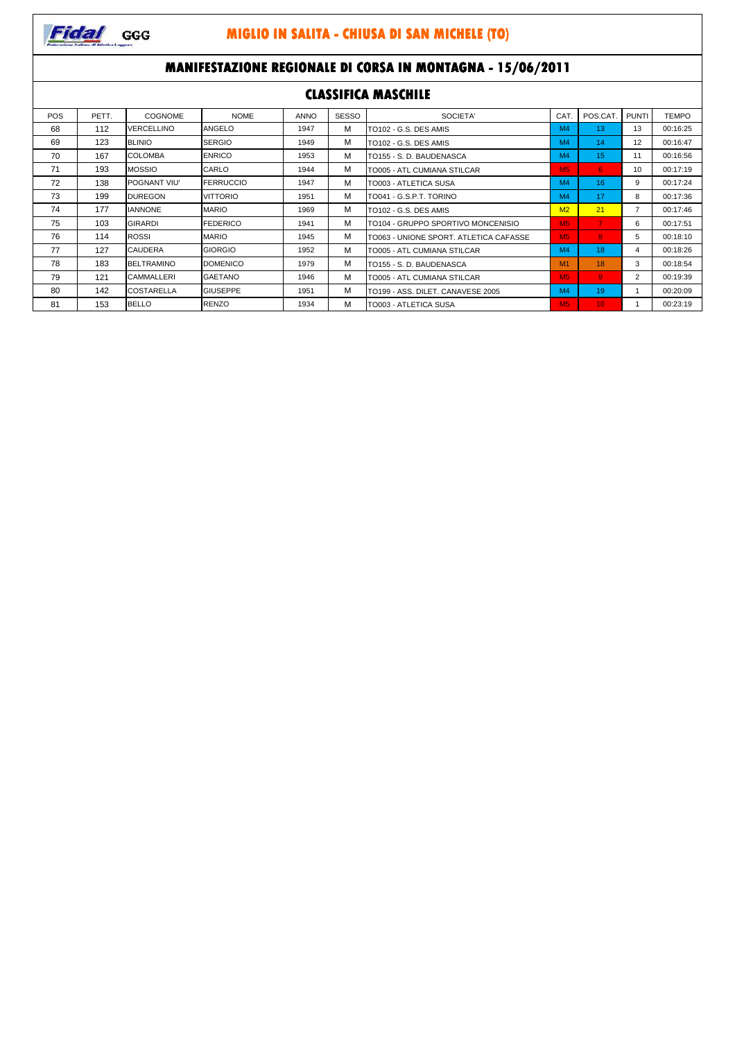

### **MANIFESTAZIONE REGIONALE DI CORSA IN MONTAGNA - 15/06/2011**

| <b>CLASSIFICA MASCHILE</b> |       |                     |                  |             |              |                                        |                |                 |              |              |
|----------------------------|-------|---------------------|------------------|-------------|--------------|----------------------------------------|----------------|-----------------|--------------|--------------|
| <b>POS</b>                 | PETT. | COGNOME             | <b>NOME</b>      | <b>ANNO</b> | <b>SESSO</b> | <b>SOCIETA'</b>                        | <b>CAT</b>     | POS.CAT         | <b>PUNTI</b> | <b>TEMPO</b> |
| 68                         | 112   | VERCELLINO          | <b>ANGELO</b>    | 1947        | М            | TO102 - G.S. DES AMIS                  | M <sub>4</sub> | 13              | 13           | 00:16:25     |
| 69                         | 123   | <b>BLINIO</b>       | <b>SERGIO</b>    | 1949        | М            | TO102 - G.S. DES AMIS                  | M <sub>4</sub> | 14              | 12           | 00:16:47     |
| 70                         | 167   | <b>COLOMBA</b>      | <b>ENRICO</b>    | 1953        | м            | TO155 - S. D. BAUDENASCA               | M <sub>4</sub> | 15              | 11           | 00:16:56     |
| 71                         | 193   | <b>MOSSIO</b>       | CARLO            | 1944        | м            | TO005 - ATL CUMIANA STILCAR            | <b>M5</b>      | 6.              | 10           | 00:17:19     |
| 72                         | 138   | <b>POGNANT VIU'</b> | <b>FERRUCCIO</b> | 1947        | м            | TO003 - ATLETICA SUSA                  | M <sub>4</sub> | 16              | 9            | 00:17:24     |
| 73                         | 199   | <b>DUREGON</b>      | <b>VITTORIO</b>  | 1951        | м            | TO041 - G.S.P.T. TORINO                | M <sub>4</sub> | 17              | 8            | 00:17:36     |
| 74                         | 177   | <b>IANNONE</b>      | <b>MARIO</b>     | 1969        | м            | TO102 - G.S. DES AMIS                  | M <sub>2</sub> | 21              | 7            | 00:17:46     |
| 75                         | 103   | <b>GIRARDI</b>      | <b>FEDERICO</b>  | 1941        | м            | TO104 - GRUPPO SPORTIVO MONCENISIO     | M <sub>5</sub> | $\mathbf{7}$    | 6            | 00:17:51     |
| 76                         | 114   | <b>ROSSI</b>        | <b>MARIO</b>     | 1945        | м            | TO063 - UNIONE SPORT, ATLETICA CAFASSE | M <sub>5</sub> | 8               | 5            | 00:18:10     |
| 77                         | 127   | <b>CAUDERA</b>      | <b>GIORGIO</b>   | 1952        | М            | TO005 - ATL CUMIANA STILCAR            | M <sub>4</sub> | 18              | 4            | 00:18:26     |
| 78                         | 183   | <b>BELTRAMINO</b>   | <b>DOMENICO</b>  | 1979        | М            | TO155 - S. D. BAUDENASCA               | M1             | 18              | 3            | 00:18:54     |
| 79                         | 121   | <b>CAMMALLERI</b>   | <b>GAETANO</b>   | 1946        | м            | TO005 - ATL CUMIANA STILCAR            | <b>M5</b>      | 9               | 2            | 00:19:39     |
| 80                         | 142   | <b>COSTARELLA</b>   | <b>GIUSEPPE</b>  | 1951        | М            | TO199 - ASS. DILET. CANAVESE 2005      | M <sub>4</sub> | 19              |              | 00:20:09     |
| 81                         | 153   | <b>BELLO</b>        | <b>RENZO</b>     | 1934        | М            | TO003 - ATLETICA SUSA                  | M <sub>5</sub> | 10 <sup>1</sup> |              | 00:23:19     |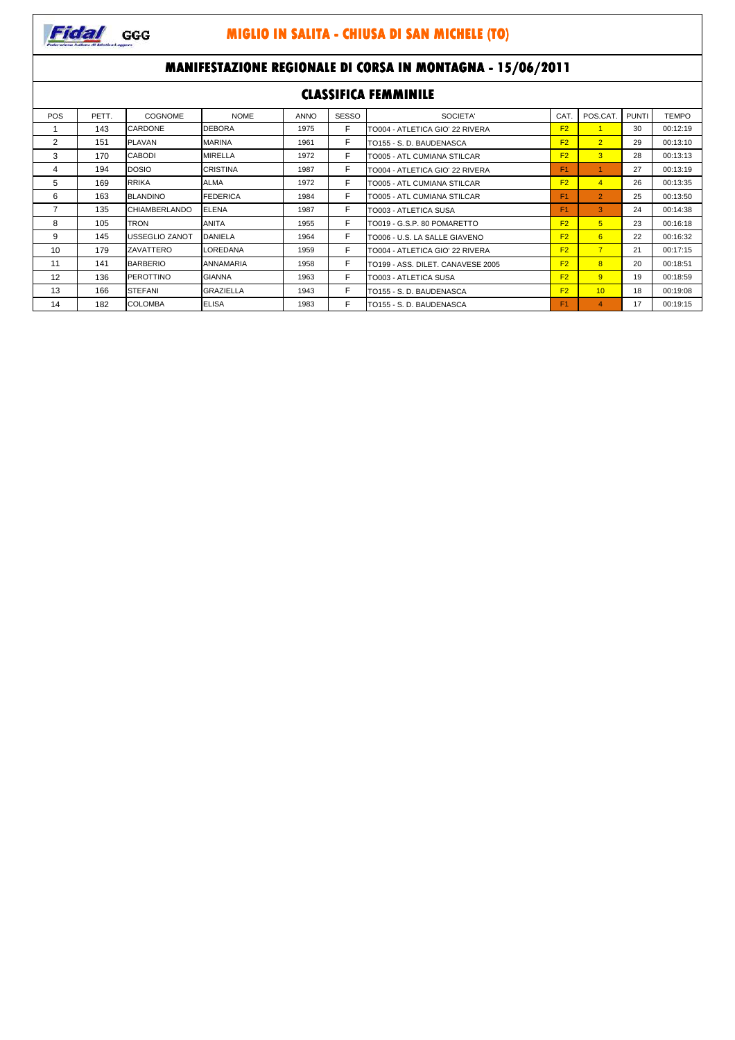

### **MANIFESTAZIONE REGIONALE DI CORSA IN MONTAGNA - 15/06/2011 CLASSIFICA FEMMINILE**

|            | CLADDII ISA TEMMINIKE |                      |                  |             |              |                                   |                |                         |              |              |  |
|------------|-----------------------|----------------------|------------------|-------------|--------------|-----------------------------------|----------------|-------------------------|--------------|--------------|--|
| <b>POS</b> | PETT.                 | <b>COGNOME</b>       | <b>NOME</b>      | <b>ANNO</b> | <b>SESSO</b> | SOCIETA'                          | CAT.           | POS.CAT                 | <b>PUNTI</b> | <b>TEMPO</b> |  |
|            | 143                   | <b>CARDONE</b>       | <b>DEBORA</b>    | 1975        | F            | TO004 - ATLETICA GIO' 22 RIVERA   | F <sub>2</sub> |                         | 30           | 00:12:19     |  |
| 2          | 151                   | <b>PLAVAN</b>        | <b>MARINA</b>    | 1961        | F            | TO155 - S. D. BAUDENASCA          | F <sub>2</sub> | $\overline{2}$          | 29           | 00:13:10     |  |
| 3          | 170                   | <b>CABODI</b>        | MIRELLA          | 1972        | F.           | TO005 - ATL CUMIANA STILCAR       | F <sub>2</sub> | 3 <sup>1</sup>          | 28           | 00:13:13     |  |
| 4          | 194                   | <b>DOSIO</b>         | <b>CRISTINA</b>  | 1987        | F            | TO004 - ATLETICA GIO' 22 RIVERA   | F1             |                         | 27           | 00:13:19     |  |
| 5          | 169                   | <b>RRIKA</b>         | ALMA             | 1972        | F            | TO005 - ATL CUMIANA STILCAR       | F <sub>2</sub> | $\overline{4}$          | 26           | 00:13:35     |  |
| 6          | 163                   | <b>BLANDINO</b>      | <b>FEDERICA</b>  | 1984        | F            | TO005 - ATL CUMIANA STILCAR       | F <sub>1</sub> | $\overline{2}$          | 25           | 00:13:50     |  |
|            | 135                   | <b>CHIAMBERLANDO</b> | <b>ELENA</b>     | 1987        | F.           | TO003 - ATLETICA SUSA             | F1             | 3                       | 24           | 00:14:38     |  |
| 8          | 105                   | TRON                 | <b>ANITA</b>     | 1955        | F            | TO019 - G.S.P. 80 POMARETTO       | F <sub>2</sub> | 5                       | 23           | 00:16:18     |  |
| 9          | 145                   | USSEGLIO ZANOT       | <b>DANIELA</b>   | 1964        | F            | TO006 - U.S. LA SALLE GIAVENO     | F <sub>2</sub> | 6                       | 22           | 00:16:32     |  |
| 10         | 179                   | ZAVATTERO            | LOREDANA         | 1959        | Е            | TO004 - ATLETICA GIO' 22 RIVERA   | F <sub>2</sub> | $\overline{7}$          | 21           | 00:17:15     |  |
| 11         | 141                   | <b>BARBERIO</b>      | ANNAMARIA        | 1958        | F            | TO199 - ASS. DILET. CANAVESE 2005 | F <sub>2</sub> | $\overline{8}$          | 20           | 00:18:51     |  |
| 12         | 136                   | <b>PEROTTINO</b>     | <b>GIANNA</b>    | 1963        | F            | <b>TO003 - ATLETICA SUSA</b>      | F <sub>2</sub> | 9                       | 19           | 00:18:59     |  |
| 13         | 166                   | <b>STEFANI</b>       | <b>GRAZIELLA</b> | 1943        | F            | TO155 - S. D. BAUDENASCA          | F <sub>2</sub> | 10                      | 18           | 00:19:08     |  |
| 14         | 182                   | <b>COLOMBA</b>       | <b>ELISA</b>     | 1983        | F            | TO155 - S. D. BAUDENASCA          | F <sub>1</sub> | $\overline{\mathbf{A}}$ | 17           | 00:19:15     |  |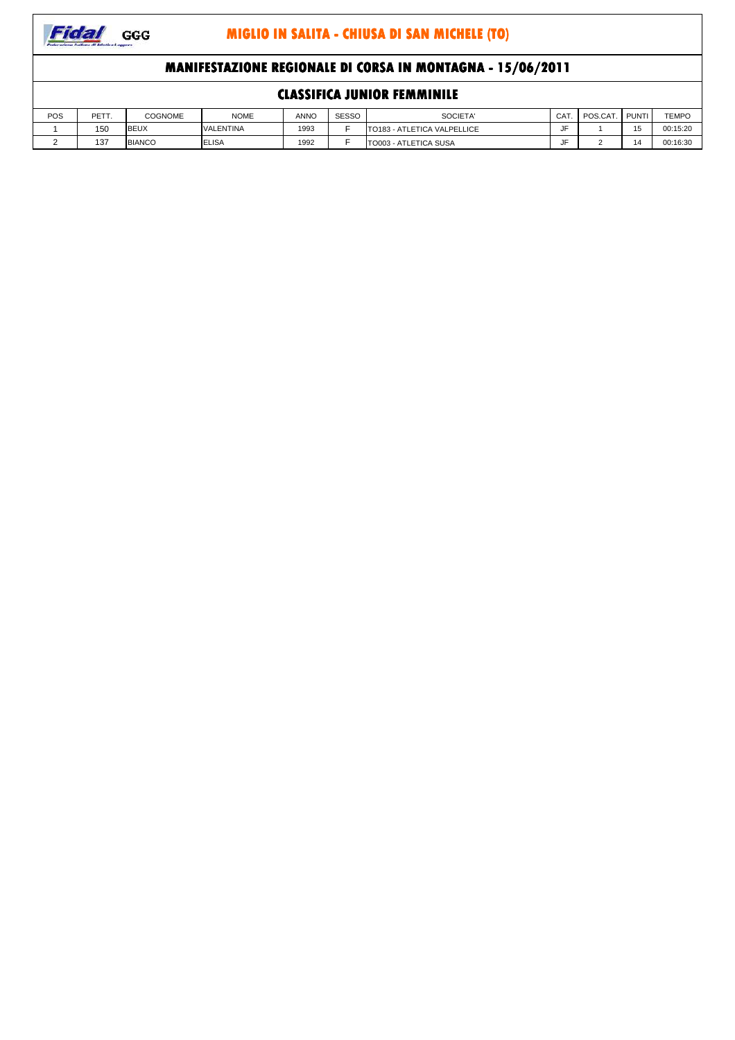

## **MANIFESTAZIONE REGIONALE DI CORSA IN MONTAGNA - 15/06/2011**

| <b>CLASSIFICA JUNIOR FEMMINILE</b> |       |                |                  |             |       |                             |     |                |  |          |
|------------------------------------|-------|----------------|------------------|-------------|-------|-----------------------------|-----|----------------|--|----------|
| POS                                | PETT. | <b>COGNOME</b> | <b>NOME</b>      | <b>ANNO</b> | SESSO | SOCIETA'                    | CAT | POS.CAT. PUNTI |  | TEMPO    |
|                                    | 150   | <b>BEUX</b>    | <b>VALENTINA</b> | 1993        |       | TO183 - ATLETICA VALPELLICE | JF  |                |  | 00:15:20 |
|                                    | 137   | <b>BIANCO</b>  | <b>ELISA</b>     | 1992        |       | TO003 - ATLETICA SUSA       | JF  |                |  | 00:16:30 |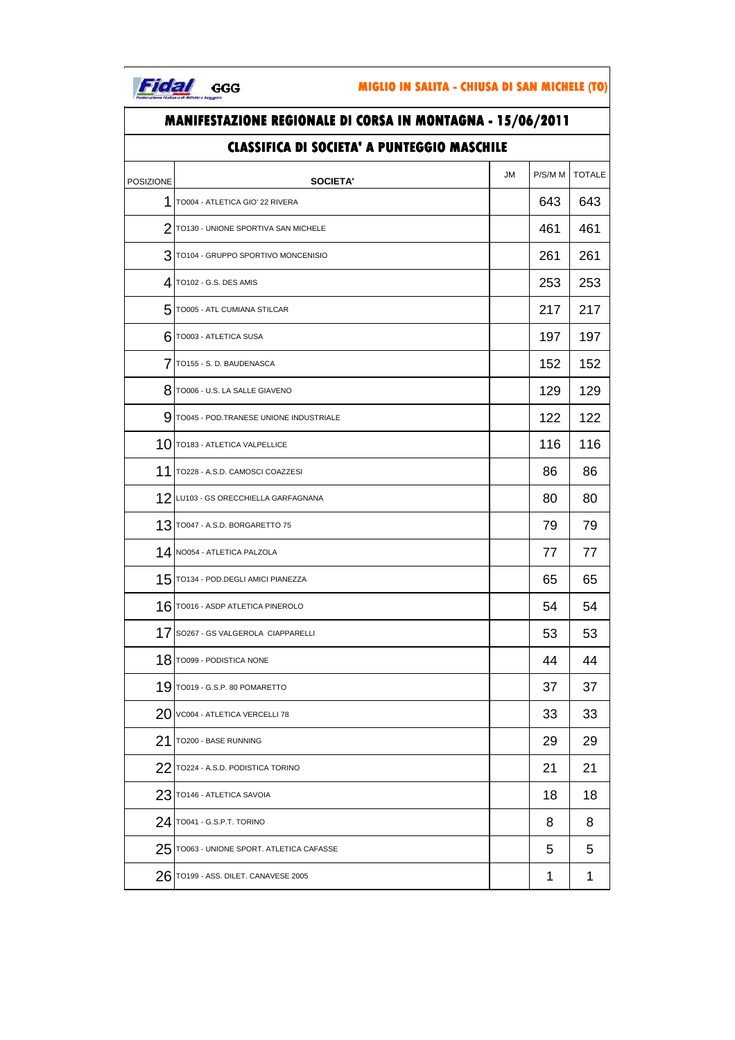

| <b>MANIFESTAZIONE REGIONALE DI CORSA IN MONTAGNA - 15/06/2011</b> |                                        |    |         |               |  |  |  |  |  |
|-------------------------------------------------------------------|----------------------------------------|----|---------|---------------|--|--|--|--|--|
| <b>CLASSIFICA DI SOCIETA' A PUNTEGGIO MASCHILE</b>                |                                        |    |         |               |  |  |  |  |  |
| POSIZIONE                                                         | SOCIETA'                               | JM | P/S/M M | <b>TOTALE</b> |  |  |  |  |  |
| 1                                                                 | TO004 - ATLETICA GIO' 22 RIVERA        |    | 643     | 643           |  |  |  |  |  |
|                                                                   | 2 TO130 - UNIONE SPORTIVA SAN MICHELE  |    | 461     | 461           |  |  |  |  |  |
| 3                                                                 | TO104 - GRUPPO SPORTIVO MONCENISIO     |    | 261     | 261           |  |  |  |  |  |
|                                                                   | 4 TO102 - G.S. DES AMIS                |    | 253     | 253           |  |  |  |  |  |
|                                                                   | 5 TO005 - ATL CUMIANA STILCAR          |    | 217     | 217           |  |  |  |  |  |
|                                                                   | $6$ TO003 - ATLETICA SUSA              |    | 197     | 197           |  |  |  |  |  |
| 7                                                                 | TO155 - S. D. BAUDENASCA               |    | 152     | 152           |  |  |  |  |  |
| 8                                                                 | TO006 - U.S. LA SALLE GIAVENO          |    | 129     | 129           |  |  |  |  |  |
| 9                                                                 | TO045 - POD.TRANESE UNIONE INDUSTRIALE |    | 122     | 122           |  |  |  |  |  |
|                                                                   | $10$ TO183 - ATLETICA VALPELLICE       |    | 116     | 116           |  |  |  |  |  |
| 11                                                                | TO228 - A.S.D. CAMOSCI COAZZESI        |    | 86      | 86            |  |  |  |  |  |
|                                                                   | 12 LU103 - GS ORECCHIELLA GARFAGNANA   |    | 80      | 80            |  |  |  |  |  |
|                                                                   | $13$ TO047 - A.S.D. BORGARETTO 75      |    | 79      | 79            |  |  |  |  |  |
|                                                                   | 14 NO054 - ATLETICA PALZOLA            |    | 77      | 77            |  |  |  |  |  |
|                                                                   | $15$ TO134 - POD. DEGLI AMICI PIANEZZA |    | 65      | 65            |  |  |  |  |  |
|                                                                   | 16 TO016 - ASDP ATLETICA PINEROLO      |    | 54      | 54            |  |  |  |  |  |
| 17                                                                | SO267 - GS VALGEROLA CIAPPARELLI       |    | 53      | 53            |  |  |  |  |  |
|                                                                   | $18$ TO099 - PODISTICA NONE            |    | 44      | 44            |  |  |  |  |  |
| 19                                                                | TO019 - G.S.P. 80 POMARETTO            |    | 37      | 37            |  |  |  |  |  |
| 20                                                                | VC004 - ATLETICA VERCELLI 78           |    | 33      | 33            |  |  |  |  |  |
| 21                                                                | TO200 - BASE RUNNING                   |    | 29      | 29            |  |  |  |  |  |
| 22                                                                | TO224 - A.S.D. PODISTICA TORINO        |    | 21      | 21            |  |  |  |  |  |
| 23                                                                | TO146 - ATLETICA SAVOIA                |    | 18      | 18            |  |  |  |  |  |
|                                                                   | 24 T0041 - G.S.P.T. TORINO             |    | 8       | 8             |  |  |  |  |  |
| 25                                                                | TO063 - UNIONE SPORT. ATLETICA CAFASSE |    | 5       | 5             |  |  |  |  |  |
|                                                                   | $26$ TO199 - ASS. DILET. CANAVESE 2005 |    | 1       | 1             |  |  |  |  |  |